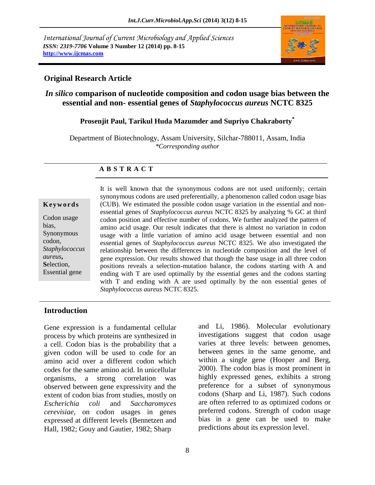*International Journal of Current Microbiology and Applied Sciences ISSN: 2319-7706* **Volume 3 Number 12 (2014) pp. 8-15 http://www.ijcmas.com** 



## **Original Research Article**

# *In silico* **comparison of nucleotide composition and codon usage bias between the essential and non- essential genes of** *Staphylococcus aureus* **NCTC 8325**

# **Prosenjit Paul, Tarikul Huda Mazumder and Supriyo Chakraborty\***

Department of Biotechnology, Assam University, Silchar-788011, Assam, India *\*Corresponding author*

### **A B S T R A C T**

#### **K e y w o r d s**

Codon usage bias, Synonymous codon, *Staphylococcus aureus***, S**election, Essential gene

It is well known that the synonymous codons are not used uniformly; certain synonymous codons are used preferentially, a phenomenon called codon usage bias (CUB). We estimated the possible codon usage variation in the essential and nonessential genes of *Staphylococcus aureus* NCTC 8325 by analyzing % GC at third codon position and effective number of codons. We further analyzed the pattern of amino acid usage. Our result indicates that there is almost no variation in codon usage with a little variation of amino acid usage between essential and non essential genes of *Staphylococcus aureus* NCTC 8325*.* We also investigated the relationship between the differences in nucleotide composition and the level of gene expression. Our results showed that though the base usage in all three codon positions reveals a selection-mutation balance, the codons starting with A and ending with T are used optimally by the essential genes and the codons starting with T and ending with A are used optimally by the non essential genes of *Staphylococcus aureus* NCTC 8325.

### **Introduction**

Gene expression is a fundamental cellular process by which proteins are synthesized in a cell. Codon bias is the probability that a given codon will be used to code for an amino acid over a different codon which codes for the same amino acid. In unicellular organisms, a strong correlation was observed between gene expressivity and the extent of codon bias from studies, mostly on *Escherichia coli* and *Saccharomyces cerevisiae*, on codon usages in genes expressed at different levels (Bennetzen and Hall, 1982; Gouy and Gautier, 1982; Sharp

and Li, 1986). Molecular evolutionary investigations suggest that codon usage varies at three levels: between genomes, between genes in the same genome, and within a single gene (Hooper and Berg, 2000). The codon bias is most prominent in highly expressed genes, exhibits a strong preference for a subset of synonymous codons (Sharp and Li, 1987). Such codons are often referred to as optimized codons or preferred codons. Strength of codon usage bias in a gene can be used to make predictions about its expression level.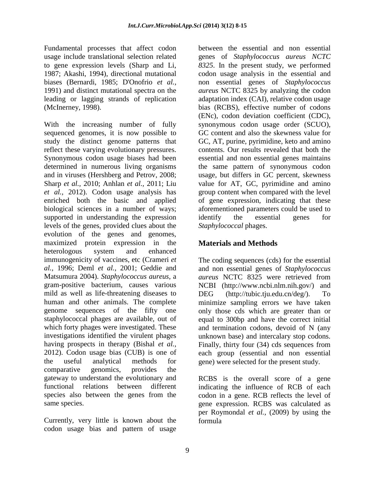Fundamental processes that affect codon usage include translational selection related to gene expression levels (Sharp and Li, 1987; Akashi, 1994), directional mutational biases (Bernardi, 1985; D'Onofrio *et al.,* 1991) and distinct mutational spectra on the leading or lagging strands of replication (McInerney, 1998).

With the increasing number of fully sequenced genomes, it is now possible to study the distinct genome patterns that reflect these varying evolutionary pressures. Synonymous codon usage biases had been determined in numerous living organisms and in viruses (Hershberg and Petrov, 2008; Sharp *et al.,* 2010; Anhlan *et al.,* 2011; Liu *et al.,* 2012). Codon usage analysis has enriched both the basic and applied biological sciences in a number of ways; supported in understanding the expression levels of the genes, provided clues about the evolution of the genes and genomes, maximized protein expression in the heterologous system and enhanced immunogenicity of vaccines, etc (Crameri *et al.,* 1996; Deml *et al.,* 2001; Geddie and Matsumura 2004). *Staphylococcus aureus*, a gram-positive bacterium, causes various mild as well as life-threatening diseases to human and other animals. The complete genome sequences of the fifty one staphylococcal phages are available, out of which forty phages were investigated. These investigations identified the virulent phages having prospects in therapy (Bishal *et al.,* 2012). Codon usage bias (CUB) is one of the useful analytical methods for comparative genomics, provides the gateway to understand the evolutionary and functional relations between different species also between the genes from the same species.

Currently, very little is known about the codon usage bias and pattern of usage

between the essential and non essential genes of *Staphylococcus aureus NCTC 8325*. In the present study, we performed codon usage analysis in the essential and non essential genes of *Staphylococcus aureus* NCTC 8325 by analyzing the codon adaptation index (CAI), relative codon usage bias (RCBS), effective number of codons (ENc), codon deviation coefficient (CDC), synonymous codon usage order (SCUO), GC content and also the skewness value for GC, AT, purine, pyrimidine, keto and amino contents. Our results revealed that both the essential and non essential genes maintains the same pattern of synonymous codon usage, but differs in GC percent, skewness value for AT, GC, pyrimidine and amino group content when compared with the level of gene expression, indicating that these aforementioned parameters could be used to identify the essential genes for *Staphylococcal* phages.

# **Materials and Methods**

The coding sequences (cds) for the essential and non essential genes of *Staphylococcus aureus* NCTC 8325 were retrieved from NCBI (http://www.ncbi.nlm.nih.gov/) and DEG (http://tubic.tju.edu.cn/deg/). To minimize sampling errors we have taken only those cds which are greater than or equal to 300bp and have the correct initial and termination codons, devoid of N (any unknown base) and intercalary stop codons. Finally, thirty four (34) cds sequences from each group (essential and non essential gene) were selected for the present study.

RCBS is the overall score of a gene indicating the influence of RCB of each codon in a gene. RCB reflects the level of gene expression. RCBS was calculated as per Roymondal *et al.,* (2009) by using the formula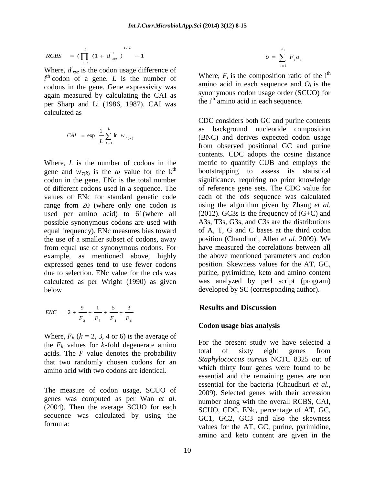$$
RCBS = (\prod_{i=1}^{L} (1 + d_{xyz}^{i})^{1/L} - 1)
$$

Where,  $d_{xyz}^i$  is the codon usage difference of  $i<sup>th</sup>$  codon of a gene. *L* is the number of codons in the gene. Gene expressivity was again measured by calculating the CAI as per Sharp and Li (1986, 1987). CAI was calculated as

$$
CAI = \exp \frac{1}{L} \sum_{k=1}^{L} \ln w_{c(k)}
$$

Where,  *is the number of codons in the* gene and  $W_{c(k)}$  is the  $\omega$  value for the k<sup>th</sup> codon in the gene. ENc is the total number of different codons used in a sequence. The values of ENc for standard genetic code range from 20 (where only one codon is used per amino acid) to 61(where all possible synonymous codons are used with equal frequency). ENc measures bias toward the use of a smaller subset of codons, away from equal use of synonymous codons. For example, as mentioned above, highly expressed genes tend to use fewer codons due to selection. ENc value for the cds was calculated as per Wright (1990) as given below

$$
ENC = 2 + \frac{9}{F_2} + \frac{1}{F_3} + \frac{5}{F_4} + \frac{3}{F_6}
$$

Where,  $F_k$  ( $k = 2, 3, 4$  or 6) is the average of the  $F_k$  values for k-fold degenerate amino acids. The  $F$  value denotes the probability that two randomly chosen codons for an amino acid with two codons are identical.

The measure of codon usage, SCUO of genes was computed as per Wan *et al.*  (2004). Then the average SCUO for each sequence was calculated by using the formula:

$$
o = \sum_{i=1}^{n_i} F_i o_i
$$

Where,  $F_i$  is the composition ratio of the i<sup>th</sup> amino acid in each sequence and  $O_i$  is the synonymous codon usage order (SCUO) for the  $i<sup>th</sup>$  amino acid in each sequence.

CDC considers both GC and purine contents as background nucleotide composition (BNC) and derives expected codon usage from observed positional GC and purine contents. CDC adopts the cosine distance metric to quantify CUB and employs the bootstrapping to assess its statistical significance, requiring no prior knowledge of reference gene sets. The CDC value for each of the cds sequence was calculated using the algorithm given by Zhang *et al.*   $(2012)$ . GC3s is the frequency of  $(G+C)$  and A3s, T3s, G3s, and C3s are the distributions of A, T, G and C bases at the third codon position (Chaudhuri, Allen *et al.* 2009). We have measured the correlations between all the above mentioned parameters and codon position. Skewness values for the AT, GC, purine, pyrimidine, keto and amino content was analyzed by perl script (program) developed by SC (corresponding author).

## **Results and Discussion**

### **Codon usage bias analysis**

For the present study we have selected a total of sixty eight genes from *Staphylococcus aureus* NCTC 8325 out of which thirty four genes were found to be essential and the remaining genes are non essential for the bacteria (Chaudhuri *et al.,* 2009). Selected genes with their accession number along with the overall RCBS, CAI, SCUO, CDC, ENc, percentage of AT, GC, GC1, GC2, GC3 and also the skewness values for the AT, GC, purine, pyrimidine, amino and keto content are given in the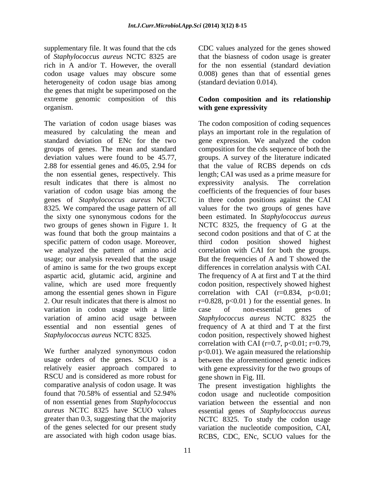supplementary file. It was found that the cds of *Staphylococcus aureus* NCTC 8325 are rich in A and/or T. However, the overall codon usage values may obscure some heterogeneity of codon usage bias among the genes that might be superimposed on the extreme genomic composition of this organism.

The variation of codon usage biases was measured by calculating the mean and standard deviation of ENc for the two groups of genes. The mean and standard deviation values were found to be 45.77, 2.88 for essential genes and 46.05, 2.94 for the non essential genes, respectively. This result indicates that there is almost no variation of codon usage bias among the genes of *Staphylococcus aureus* NCTC 8325*.* We compared the usage pattern of all the sixty one synonymous codons for the two groups of genes shown in Figure 1. It was found that both the group maintains a specific pattern of codon usage. Moreover, we analyzed the pattern of amino acid usage; our analysis revealed that the usage of amino is same for the two groups except aspartic acid, glutamic acid, arginine and valine, which are used more frequently among the essential genes shown in Figure 2. Our result indicates that there is almost no variation in codon usage with a little variation of amino acid usage between essential and non essential genes of *Staphylococcus aureus* NCTC 8325*.*

We further analyzed synonymous codon usage orders of the genes. SCUO is a relatively easier approach compared to RSCU and is considered as more robust for comparative analysis of codon usage. It was found that 70.58% of essential and 52.94% of non essential genes from *Staphylococcus aureus* NCTC 8325 have SCUO values greater than 0.3, suggesting that the majority of the genes selected for our present study are associated with high codon usage bias.

CDC values analyzed for the genes showed that the biasness of codon usage is greater for the non essential (standard deviation 0.008) genes than that of essential genes (standard deviation 0.014).

## **Codon composition and its relationship with gene expressivity**

The codon composition of coding sequences plays an important role in the regulation of gene expression. We analyzed the codon composition for the cds sequence of both the groups. A survey of the literature indicated that the value of RCBS depends on cds length; CAI was used as a prime measure for expressivity analysis. The correlation coefficients of the frequencies of four bases in three codon positions against the CAI values for the two groups of genes have been estimated. In *Staphylococcus aureus*  NCTC 8325, the frequency of G at the second codon positions and that of C at the third codon position showed highest correlation with CAI for both the groups. But the frequencies of A and T showed the differences in correlation analysis with CAI. The frequency of A at first and T at the third codon position, respectively showed highest correlation with CAI  $(r=0.834, p<0.01;$  $r=0.828$ ,  $p<0.01$ ) for the essential genes. In case of non-essential genes of *Staphylococcus aureus* NCTC 8325 the frequency of A at third and T at the first codon position, respectively showed highest correlation with CAI ( $r=0.7$ ,  $p<0.01$ ;  $r=0.79$ , p<0.01). We again measured the relationship between the aforementioned genetic indices with gene expressivity for the two groups of gene shown in Fig. III.

The present investigation highlights the codon usage and nucleotide composition variation between the essential and non essential genes of *Staphylococcus aureus*  NCTC 8325. To study the codon usage variation the nucleotide composition, CAI, RCBS, CDC, ENc, SCUO values for the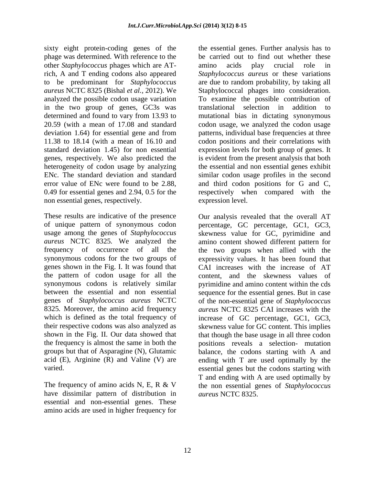sixty eight protein-coding genes of the phage was determined. With reference to the other *Staphylococcus* phages which are ATrich, A and T ending codons also appeared to be predominant for *Staphylococcus aureus* NCTC 8325 (Bishal *et al.,* 2012). We analyzed the possible codon usage variation in the two group of genes, GC3s was determined and found to vary from 13.93 to 20.59 (with a mean of 17.08 and standard deviation 1.64) for essential gene and from 11.38 to 18.14 (with a mean of 16.10 and standard deviation 1.45) for non essential genes, respectively. We also predicted the heterogeneity of codon usage by analyzing ENc. The standard deviation and standard error value of ENc were found to be 2.88, 0.49 for essential genes and 2.94, 0.5 for the non essential genes, respectively.

These results are indicative of the presence of unique pattern of synonymous codon usage among the genes of *Staphylococcus aureus* NCTC 8325*.* We analyzed the frequency of occurrence of all the synonymous codons for the two groups of genes shown in the Fig. I. It was found that the pattern of codon usage for all the synonymous codons is relatively similar between the essential and non essential genes of *Staphylococcus aureus* NCTC 8325*.* Moreover, the amino acid frequency which is defined as the total frequency of their respective codons was also analyzed as shown in the Fig. II. Our data showed that the frequency is almost the same in both the groups but that of Asparagine (N), Glutamic acid (E), Arginine (R) and Valine (V) are varied.

The frequency of amino acids N, E, R & V have dissimilar pattern of distribution in essential and non-essential genes. These amino acids are used in higher frequency for the essential genes. Further analysis has to be carried out to find out whether these amino acids play crucial role in *Staphylococcus aureus* or these variations are due to random probability, by taking all Staphylococcal phages into consideration. To examine the possible contribution of translational selection in addition to mutational bias in dictating synonymous codon usage, we analyzed the codon usage patterns, individual base frequencies at three codon positions and their correlations with expression levels for both group of genes. It is evident from the present analysis that both the essential and non essential genes exhibit similar codon usage profiles in the second and third codon positions for G and C, respectively when compared with the expression level.

Our analysis revealed that the overall AT percentage, GC percentage, GC1, GC3, skewness value for GC, pyrimidine and amino content showed different pattern for the two groups when allied with the expressivity values. It has been found that CAI increases with the increase of AT content, and the skewness values of pyrimidine and amino content within the cds sequence for the essential genes. But in case of the non-essential gene of *Staphylococcus aureus* NCTC 8325 CAI increases with the increase of GC percentage, GC1, GC3, skewness value for GC content. This implies that though the base usage in all three codon positions reveals a selection- mutation balance, the codons starting with A and ending with T are used optimally by the essential genes but the codons starting with T and ending with A are used optimally by the non essential genes of *Staphylococcus aureus* NCTC 8325.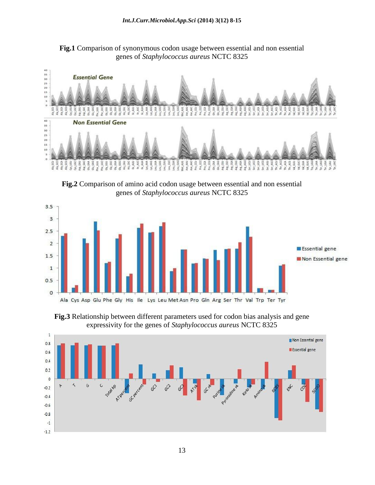**Fig.1** Comparison of synonymous codon usage between essential and non essential genes of *Staphylococcus aureus* NCTC 8325



**Fig.2** Comparison of amino acid codon usage between essential and non essential genes of *Staphylococcus aureus* NCTC 8325



**Fig.3** Relationship between different parameters used for codon bias analysis and gene expressivity for the genes of *Staphylococcus aureus* NCTC 8325

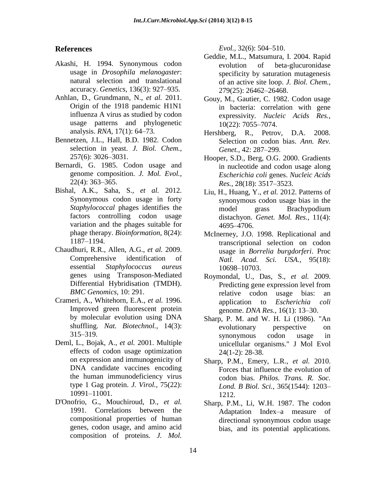## **References**

- Akashi, H. 1994. Synonymous codon usage in *Drosophila melanogaster*: natural selection and translational accuracy. *Genetics,* 136(3): 927–935.
- Anhlan, D., Grundmann, N., *et al.* 2011. Origin of the 1918 pandemic H1N1 influenza A virus as studied by codon usage patterns and phylogenetic analysis. *RNA,* 17(1): 64–73.
- Bennetzen, J.L., Hall, B.D. 1982. Codon selection in yeast. *J. Biol. Chem.,* 257(6): 3026–3031.
- Bernardi, G. 1985. Codon usage and genome composition. *J. Mol. Evol.,* 22(4): 363–365.
- Bishal, A.K., Saha, S., *et al.* 2012. Synonymous codon usage in forty *Staphylococcal* phages identifies the factors controlling codon usage variation and the phages suitable for phage therapy. *Bioinformation,* 8(24): 1187–1194.
- Chaudhuri, R.R., Allen, A.G., *et al.* 2009. Comprehensive identification of essential *Staphylococcus aureus* genes using Transposon-Mediated Differential Hybridisation (TMDH). *BMC Genomics,* 10: 291.
- Crameri, A., Whitehorn, E.A., *et al.* 1996. Improved green fluorescent protein by molecular evolution using DNA shuffling. *Nat. Biotechnol.,* 14(3): 315–319.
- Deml, L., Bojak, A., *et al.* 2001. Multiple effects of codon usage optimization on expression and immunogenicity of DNA candidate vaccines encoding the human immunodeficiency virus type 1 Gag protein. *J. Virol.,* 75(22): 10991–11001.
- D'Onofrio, G., Mouchiroud, D., *et al.*  1991. Correlations between the compositional properties of human genes, codon usage, and amino acid composition of proteins. *J. Mol.*

*Evol.,* 32(6): 504–510.

- Geddie, M.L., Matsumura, I. 2004. Rapid evolution of beta-glucuronidase specificity by saturation mutagenesis of an active site loop. *J. Biol. Chem.,* 279(25): 26462–26468.
- Gouy, M., Gautier, C. 1982. Codon usage in bacteria: correlation with gene expressivity. *Nucleic Acids Res.,*  10(22): 7055–7074.
- Hershberg, R., Petrov, D.A. 2008. Selection on codon bias. *Ann. Rev. Genet.,* 42: 287–299.
- Hooper, S.D., Berg, O.G. 2000. Gradients in nucleotide and codon usage along *Escherichia coli* genes. *Nucleic Acids Res.,* 28(18): 3517–3523.
- Liu, H., Huang, Y., *et al.* 2012. Patterns of synonymous codon usage bias in the model grass Brachypodium distachyon. *Genet. Mol. Res.,* 11(4): 4695–4706.
- McInerney, J.O. 1998. Replicational and transcriptional selection on codon usage in *Borrelia burgdorferi*. Proc *Natl. Acad. Sci. USA.,* 95(18): 10698–10703.
- Roymondal, U., Das, S., *et al.* 2009. Predicting gene expression level from relative codon usage bias: an application to *Escherichia coli*  genome. *DNA Res.,* 16(1): 13–30.
- Sharp, P. M. and W. H. Li (1986). "An evolutionary perspective on synonymous codon usage in unicellular organisms." J Mol Evol 24(1-2): 28-38.
- Sharp, P.M., Emery, L.R., *et al.* 2010. Forces that influence the evolution of codon bias. *Philos. Trans. R. Soc. Lond. B Biol. Sci.,* 365(1544): 1203– 1212.
- Sharp, P.M., Li, W.H. 1987. The codon Adaptation Index–a measure of directional synonymous codon usage bias, and its potential applications.